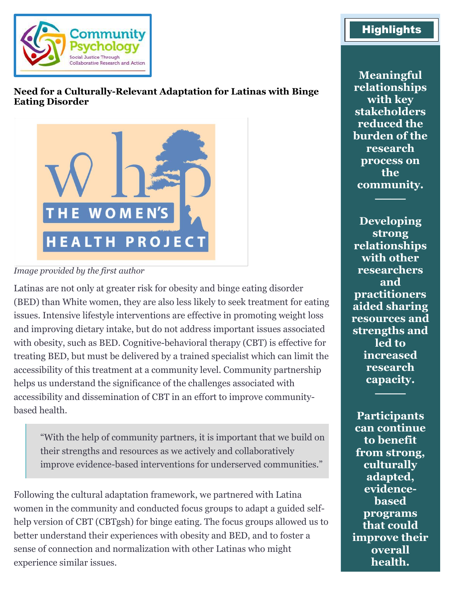

## **Need for a Culturally-Relevant Adaptation for Latinas with Binge Eating Disorder**



#### *Image provided by the first author*

Latinas are not only at greater risk for obesity and binge eating disorder (BED) than White women, they are also less likely to seek treatment for eating issues. Intensive lifestyle interventions are effective in promoting weight loss and improving dietary intake, but do not address important issues associated with obesity, such as BED. Cognitive-behavioral therapy (CBT) is effective for treating BED, but must be delivered by a trained specialist which can limit the accessibility of this treatment at a community level. Community partnership helps us understand the significance of the challenges associated with accessibility and dissemination of CBT in an effort to improve communitybased health.

"With the help of community partners, it is important that we build on their strengths and resources as we actively and collaboratively improve evidence-based interventions for underserved communities."

Following the cultural adaptation framework, we partnered with Latina women in the community and conducted focus groups to adapt a guided selfhelp version of CBT (CBTgsh) for binge eating. The focus groups allowed us to better understand their experiences with obesity and BED, and to foster a sense of connection and normalization with other Latinas who might experience similar issues.

# **Highlights**

**Meaningful relationships with key stakeholders reduced the burden of the research process on the community.**

────

**Developing strong relationships with other researchers and practitioners aided sharing resources and strengths and led to increased research capacity.**

────

**Participants can continue to benefit from strong, culturally adapted, evidencebased programs that could improve their overall health.**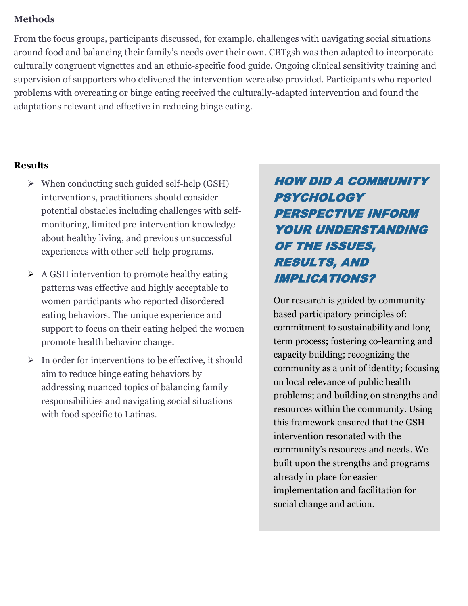### **Methods**

From the focus groups, participants discussed, for example, challenges with navigating social situations around food and balancing their family's needs over their own. CBTgsh was then adapted to incorporate culturally congruent vignettes and an ethnic-specific food guide. Ongoing clinical sensitivity training and supervision of supporters who delivered the intervention were also provided. Participants who reported problems with overeating or binge eating received the culturally-adapted intervention and found the adaptations relevant and effective in reducing binge eating.

### **Results**

- ➢ When conducting such guided self-help (GSH) interventions, practitioners should consider potential obstacles including challenges with selfmonitoring, limited pre-intervention knowledge about healthy living, and previous unsuccessful experiences with other self-help programs.
- ➢ A GSH intervention to promote healthy eating patterns was effective and highly acceptable to women participants who reported disordered eating behaviors. The unique experience and support to focus on their eating helped the women promote health behavior change.
- $\triangleright$  In order for interventions to be effective, it should aim to reduce binge eating behaviors by addressing nuanced topics of balancing family responsibilities and navigating social situations with food specific to Latinas.

# HOW DID A COMMUNITY **PSYCHOLOGY** PERSPECTIVE INFORM YOUR UNDERSTANDING OF THE ISSUES, RESULTS, AND IMPLICATIONS?

Our research is guided by communitybased participatory principles of: commitment to sustainability and longterm process; fostering co-learning and capacity building; recognizing the community as a unit of identity; focusing on local relevance of public health problems; and building on strengths and resources within the community. Using this framework ensured that the GSH intervention resonated with the community's resources and needs. We built upon the strengths and programs already in place for easier implementation and facilitation for social change and action.